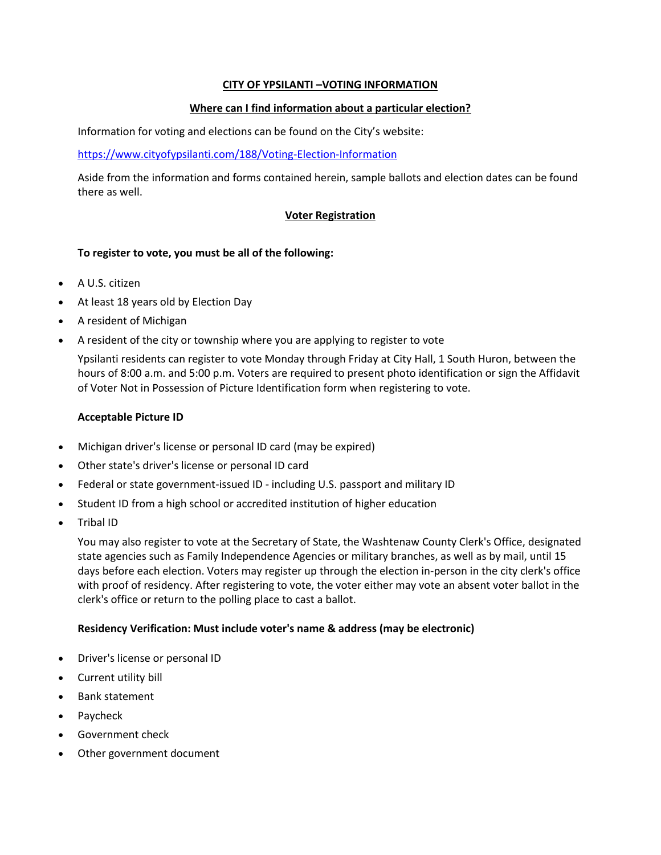# **CITY OF YPSILANTI –VOTING INFORMATION**

## **Where can I find information about a particular election?**

Information for voting and elections can be found on the City's website:

## <https://www.cityofypsilanti.com/188/Voting-Election-Information>

Aside from the information and forms contained herein, sample ballots and election dates can be found there as well.

## **Voter Registration**

## **To register to vote, you must be all of the following:**

- A U.S. citizen
- At least 18 years old by Election Day
- A resident of Michigan
- A resident of the city or township where you are applying to register to vote

Ypsilanti residents can register to vote Monday through Friday at City Hall, 1 South Huron, between the hours of 8:00 a.m. and 5:00 p.m. Voters are required to present photo identification or sign the Affidavit of Voter Not in Possession of Picture Identification form when registering to vote.

#### **Acceptable Picture ID**

- Michigan driver's license or personal ID card (may be expired)
- Other state's driver's license or personal ID card
- Federal or state government-issued ID including U.S. passport and military ID
- Student ID from a high school or accredited institution of higher education
- Tribal ID

You may also register to vote at the Secretary of State, the Washtenaw County Clerk's Office, designated state agencies such as Family Independence Agencies or military branches, as well as by mail, until 15 days before each election. Voters may register up through the election in-person in the city clerk's office with proof of residency. After registering to vote, the voter either may vote an absent voter ballot in the clerk's office or return to the polling place to cast a ballot.

## **Residency Verification: Must include voter's name & address (may be electronic)**

- Driver's license or personal ID
- Current utility bill
- Bank statement
- Paycheck
- Government check
- Other government document